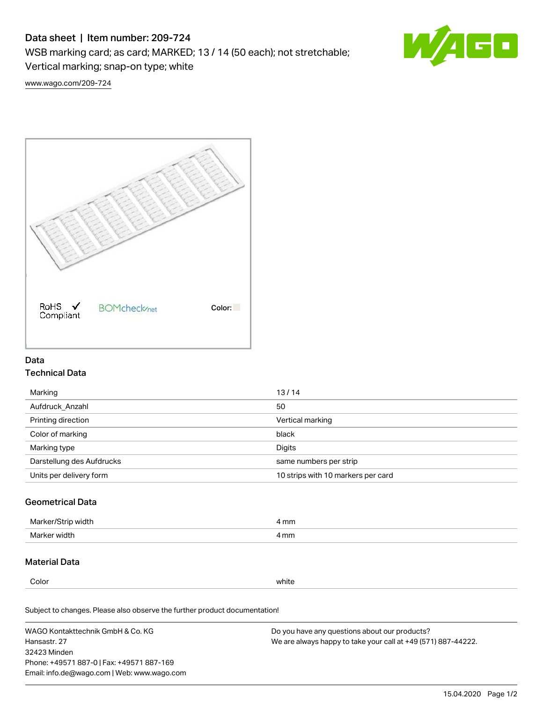# Data sheet | Item number: 209-724

WSB marking card; as card; MARKED; 13 / 14 (50 each); not stretchable;

Vertical marking; snap-on type; white



[www.wago.com/209-724](http://www.wago.com/209-724)



## Data Technical Data

| Marking                   | 13/14                              |
|---------------------------|------------------------------------|
| Aufdruck Anzahl           | 50                                 |
| Printing direction        | Vertical marking                   |
| Color of marking          | black                              |
| Marking type              | Digits                             |
| Darstellung des Aufdrucks | same numbers per strip             |
| Units per delivery form   | 10 strips with 10 markers per card |

## Geometrical Data

| Marke<br>width ا  | I mm |
|-------------------|------|
| width<br>Marker v | l mm |

## Material Data

Color white

Subject to changes. Please also observe the further product documentation!

WAGO Kontakttechnik GmbH & Co. KG Hansastr. 27 32423 Minden Phone: +49571 887-0 | Fax: +49571 887-169 Email: info.de@wago.com | Web: www.wago.com Do you have any questions about our products? We are always happy to take your call at +49 (571) 887-44222.